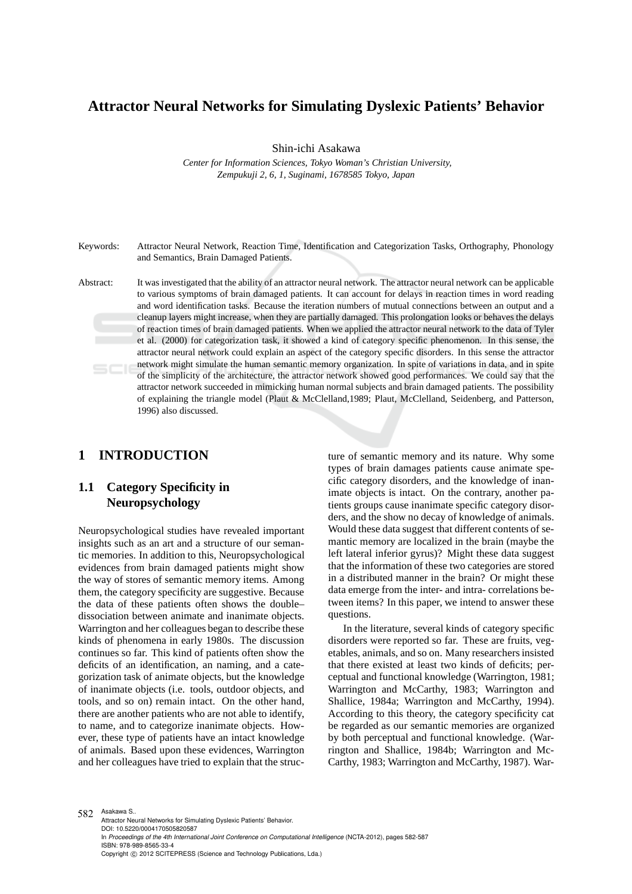# **Attractor Neural Networks for Simulating Dyslexic Patients' Behavior**

Shin-ichi Asakawa

*Center for Information Sciences, Tokyo Woman's Christian University, Zempukuji 2, 6, 1, Suginami, 1678585 Tokyo, Japan*

Keywords: Attractor Neural Network, Reaction Time, Identification and Categorization Tasks, Orthography, Phonology and Semantics, Brain Damaged Patients.

Abstract: It was investigated that the ability of an attractor neural network. The attractor neural network can be applicable to various symptoms of brain damaged patients. It can account for delays in reaction times in word reading and word identification tasks. Because the iteration numbers of mutual connections between an output and a cleanup layers might increase, when they are partially damaged. This prolongation looks or behaves the delays of reaction times of brain damaged patients. When we applied the attractor neural network to the data of Tyler et al. (2000) for categorization task, it showed a kind of category specific phenomenon. In this sense, the attractor neural network could explain an aspect of the category specific disorders. In this sense the attractor network might simulate the human semantic memory organization. In spite of variations in data, and in spite of the simplicity of the architecture, the attractor network showed good performances. We could say that the attractor network succeeded in mimicking human normal subjects and brain damaged patients. The possibility of explaining the triangle model (Plaut & McClelland,1989; Plaut, McClelland, Seidenberg, and Patterson, 1996) also discussed.

## **1 INTRODUCTION**

# **1.1 Category Specificity in Neuropsychology**

Neuropsychological studies have revealed important insights such as an art and a structure of our semantic memories. In addition to this, Neuropsychological evidences from brain damaged patients might show the way of stores of semantic memory items. Among them, the category specificity are suggestive. Because the data of these patients often shows the double– dissociation between animate and inanimate objects. Warrington and her colleagues began to describe these kinds of phenomena in early 1980s. The discussion continues so far. This kind of patients often show the deficits of an identification, an naming, and a categorization task of animate objects, but the knowledge of inanimate objects (i.e. tools, outdoor objects, and tools, and so on) remain intact. On the other hand, there are another patients who are not able to identify, to name, and to categorize inanimate objects. However, these type of patients have an intact knowledge of animals. Based upon these evidences, Warrington and her colleagues have tried to explain that the structure of semantic memory and its nature. Why some types of brain damages patients cause animate specific category disorders, and the knowledge of inanimate objects is intact. On the contrary, another patients groups cause inanimate specific category disorders, and the show no decay of knowledge of animals. Would these data suggest that different contents of semantic memory are localized in the brain (maybe the left lateral inferior gyrus)? Might these data suggest that the information of these two categories are stored in a distributed manner in the brain? Or might these data emerge from the inter- and intra- correlations between items? In this paper, we intend to answer these questions.

In the literature, several kinds of category specific disorders were reported so far. These are fruits, vegetables, animals, and so on. Many researchers insisted that there existed at least two kinds of deficits; perceptual and functional knowledge (Warrington, 1981; Warrington and McCarthy, 1983; Warrington and Shallice, 1984a; Warrington and McCarthy, 1994). According to this theory, the category specificity cat be regarded as our semantic memories are organized by both perceptual and functional knowledge. (Warrington and Shallice, 1984b; Warrington and Mc-Carthy, 1983; Warrington and McCarthy, 1987). War-

582 Asakawa S.. Attractor Neural Networks for Simulating Dyslexic Patients' Behavior. DOI: 10.5220/0004170505820587 In *Proceedings of the 4th International Joint Conference on Computational Intelligence* (NCTA-2012), pages 582-587 ISBN: 978-989-8565-33-4 Copyright © 2012 SCITEPRESS (Science and Technology Publications, Lda.)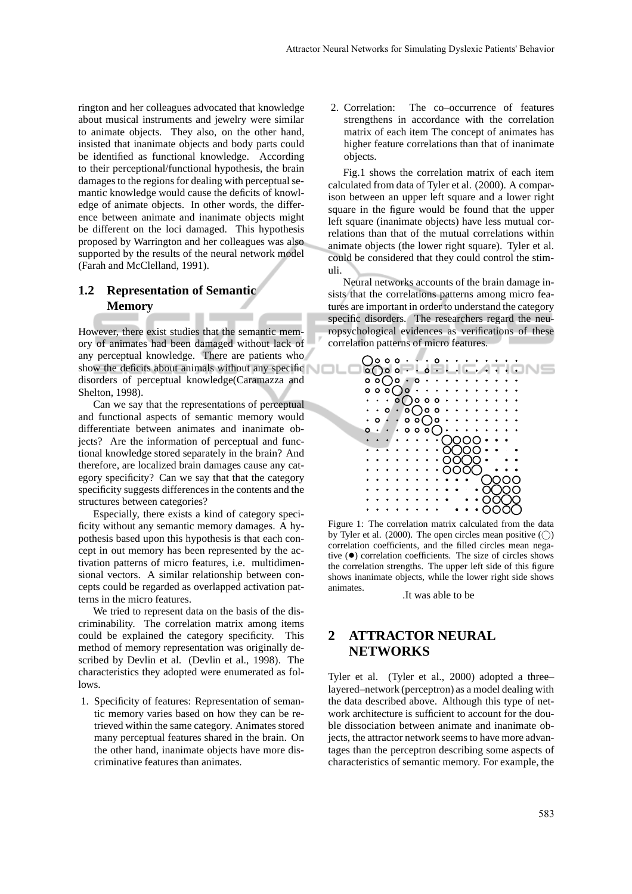rington and her colleagues advocated that knowledge about musical instruments and jewelry were similar to animate objects. They also, on the other hand, insisted that inanimate objects and body parts could be identified as functional knowledge. According to their perceptional/functional hypothesis, the brain damages to the regions for dealing with perceptual semantic knowledge would cause the deficits of knowledge of animate objects. In other words, the difference between animate and inanimate objects might be different on the loci damaged. This hypothesis proposed by Warrington and her colleagues was also supported by the results of the neural network model (Farah and McClelland, 1991).

## **1.2 Representation of Semantic Memory**

However, there exist studies that the semantic memory of animates had been damaged without lack of any perceptual knowledge. There are patients who show the deficits about animals without any specific disorders of perceptual knowledge(Caramazza and Shelton, 1998).

Can we say that the representations of perceptual and functional aspects of semantic memory would differentiate between animates and inanimate objects? Are the information of perceptual and functional knowledge stored separately in the brain? And therefore, are localized brain damages cause any category specificity? Can we say that that the category specificity suggests differences in the contents and the structures between categories?

Especially, there exists a kind of category specificity without any semantic memory damages. A hypothesis based upon this hypothesis is that each concept in out memory has been represented by the activation patterns of micro features, i.e. multidimensional vectors. A similar relationship between concepts could be regarded as overlapped activation patterns in the micro features.

We tried to represent data on the basis of the discriminability. The correlation matrix among items could be explained the category specificity. This method of memory representation was originally described by Devlin et al. (Devlin et al., 1998). The characteristics they adopted were enumerated as follows.

1. Specificity of features: Representation of semantic memory varies based on how they can be retrieved within the same category. Animates stored many perceptual features shared in the brain. On the other hand, inanimate objects have more discriminative features than animates.

2. Correlation: The co–occurrence of features strengthens in accordance with the correlation matrix of each item The concept of animates has higher feature correlations than that of inanimate objects.

Fig.1 shows the correlation matrix of each item calculated from data of Tyler et al. (2000). A comparison between an upper left square and a lower right square in the figure would be found that the upper left square (inanimate objects) have less mutual correlations than that of the mutual correlations within animate objects (the lower right square). Tyler et al. could be considered that they could control the stimuli.

Neural networks accounts of the brain damage insists that the correlations patterns among micro features are important in order to understand the category specific disorders. The researchers regard the neuropsychological evidences as verifications of these correlation patterns of micro features.



Figure 1: The correlation matrix calculated from the data by Tyler et al. (2000). The open circles mean positive  $\textcircled{\scriptsize{}}$ ) correlation coefficients, and the filled circles mean negative (•) correlation coefficients. The size of circles shows the correlation strengths. The upper left side of this figure shows inanimate objects, while the lower right side shows animates.

.It was able to be

# **2 ATTRACTOR NEURAL NETWORKS**

Tyler et al. (Tyler et al., 2000) adopted a three– layered–network (perceptron) as a model dealing with the data described above. Although this type of network architecture is sufficient to account for the double dissociation between animate and inanimate objects, the attractor network seems to have more advantages than the perceptron describing some aspects of characteristics of semantic memory. For example, the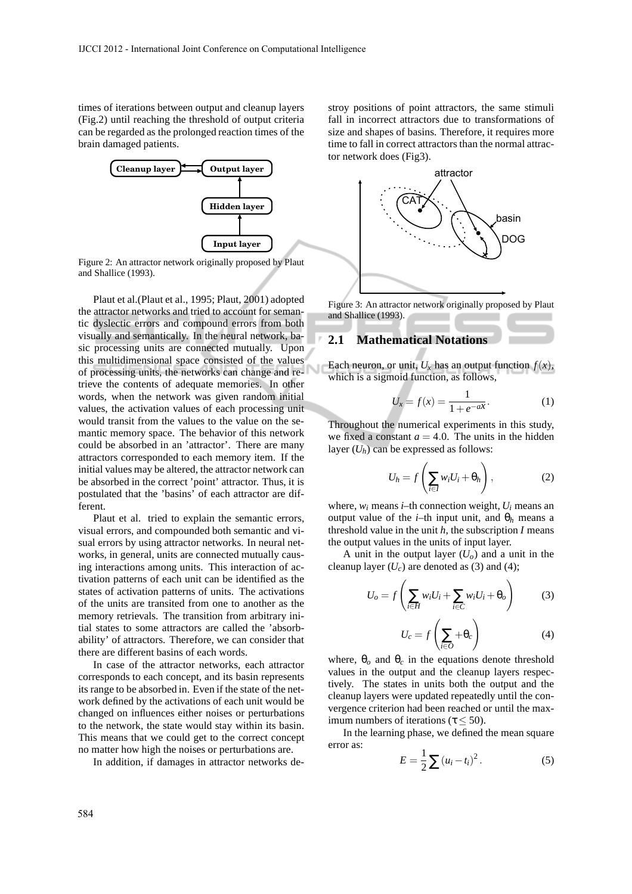times of iterations between output and cleanup layers (Fig.2) until reaching the threshold of output criteria can be regarded as the prolonged reaction times of the brain damaged patients.



Figure 2: An attractor network originally proposed by Plaut and Shallice (1993).

Plaut et al.(Plaut et al., 1995; Plaut, 2001) adopted the attractor networks and tried to account for semantic dyslectic errors and compound errors from both visually and semantically. In the neural network, basic processing units are connected mutually. Upon this multidimensional space consisted of the values of processing units, the networks can change and retrieve the contents of adequate memories. In other words, when the network was given random initial values, the activation values of each processing unit would transit from the values to the value on the semantic memory space. The behavior of this network could be absorbed in an 'attractor'. There are many attractors corresponded to each memory item. If the initial values may be altered, the attractor network can be absorbed in the correct 'point' attractor. Thus, it is postulated that the 'basins' of each attractor are different.

Plaut et al. tried to explain the semantic errors, visual errors, and compounded both semantic and visual errors by using attractor networks. In neural networks, in general, units are connected mutually causing interactions among units. This interaction of activation patterns of each unit can be identified as the states of activation patterns of units. The activations of the units are transited from one to another as the memory retrievals. The transition from arbitrary initial states to some attractors are called the 'absorbability' of attractors. Therefore, we can consider that there are different basins of each words.

In case of the attractor networks, each attractor corresponds to each concept, and its basin represents its range to be absorbed in. Even if the state of the network defined by the activations of each unit would be changed on influences either noises or perturbations to the network, the state would stay within its basin. This means that we could get to the correct concept no matter how high the noises or perturbations are.

In addition, if damages in attractor networks de-

stroy positions of point attractors, the same stimuli fall in incorrect attractors due to transformations of size and shapes of basins. Therefore, it requires more time to fall in correct attractors than the normal attractor network does (Fig3).



Figure 3: An attractor network originally proposed by Plaut and Shallice (1993).

### **2.1 Mathematical Notations**

Each neuron, or unit,  $U_x$  has an output function  $f(x)$ , which is a sigmoid function, as follows,

$$
U_x = f(x) = \frac{1}{1 + e^{-a x}}.\t(1)
$$

Throughout the numerical experiments in this study, we fixed a constant  $a = 4.0$ . The units in the hidden layer  $(U_h)$  can be expressed as follows:

$$
U_h = f\left(\sum_{i \in I} w_i U_i + \theta_h\right),\tag{2}
$$

where,  $w_i$  means *i*–th connection weight,  $U_i$  means an output value of the *i*–th input unit, and θ*<sup>h</sup>* means a threshold value in the unit *h*, the subscription *I* means the output values in the units of input layer.

A unit in the output layer  $(U<sub>o</sub>)$  and a unit in the cleanup layer  $(U_c)$  are denoted as (3) and (4);

$$
U_o = f\left(\sum_{i \in H} w_i U_i + \sum_{i \in C} w_i U_i + \theta_o\right) \tag{3}
$$

$$
U_c = f\left(\sum_{i \in O} + \theta_c\right) \tag{4}
$$

where,  $\theta_o$  and  $\theta_c$  in the equations denote threshold values in the output and the cleanup layers respectively. The states in units both the output and the cleanup layers were updated repeatedly until the convergence criterion had been reached or until the maximum numbers of iterations ( $\tau$  < 50).

In the learning phase, we defined the mean square error as:

$$
E = \frac{1}{2} \sum (u_i - t_i)^2.
$$
 (5)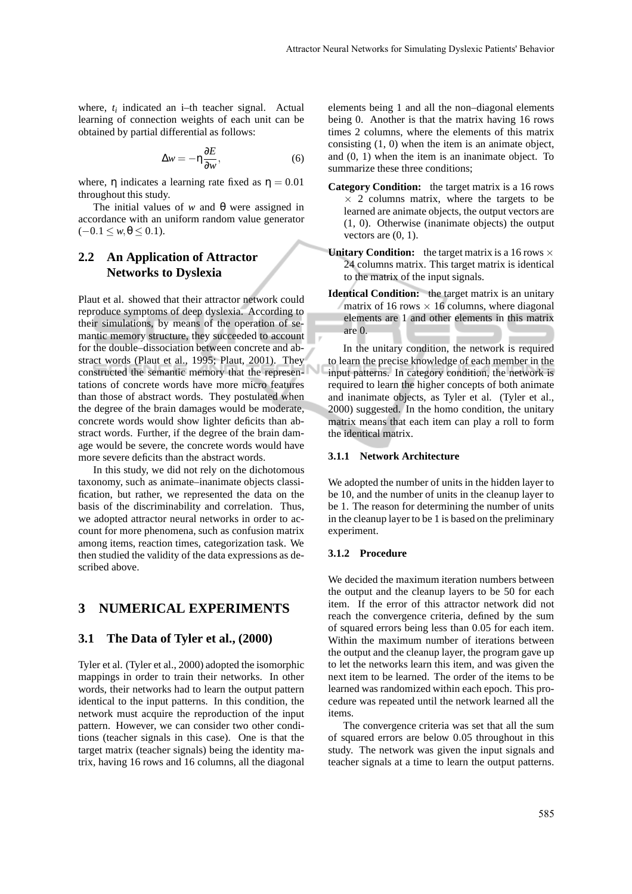where, *t<sup>i</sup>* indicated an i–th teacher signal. Actual learning of connection weights of each unit can be obtained by partial differential as follows:

$$
\Delta w = -\eta \frac{\partial E}{\partial w},\tag{6}
$$

where,  $\eta$  indicates a learning rate fixed as  $\eta = 0.01$ throughout this study.

The initial values of *w* and θ were assigned in accordance with an uniform random value generator  $(-0.1 \leq w, \theta \leq 0.1).$ 

## **2.2 An Application of Attractor Networks to Dyslexia**

Plaut et al. showed that their attractor network could reproduce symptoms of deep dyslexia. According to their simulations, by means of the operation of semantic memory structure, they succeeded to account for the double–dissociation between concrete and abstract words (Plaut et al., 1995; Plaut, 2001). They constructed the semantic memory that the representations of concrete words have more micro features than those of abstract words. They postulated when the degree of the brain damages would be moderate, concrete words would show lighter deficits than abstract words. Further, if the degree of the brain damage would be severe, the concrete words would have more severe deficits than the abstract words.

In this study, we did not rely on the dichotomous taxonomy, such as animate–inanimate objects classification, but rather, we represented the data on the basis of the discriminability and correlation. Thus, we adopted attractor neural networks in order to account for more phenomena, such as confusion matrix among items, reaction times, categorization task. We then studied the validity of the data expressions as described above.

### **3 NUMERICAL EXPERIMENTS**

### **3.1 The Data of Tyler et al., (2000)**

Tyler et al. (Tyler et al., 2000) adopted the isomorphic mappings in order to train their networks. In other words, their networks had to learn the output pattern identical to the input patterns. In this condition, the network must acquire the reproduction of the input pattern. However, we can consider two other conditions (teacher signals in this case). One is that the target matrix (teacher signals) being the identity matrix, having 16 rows and 16 columns, all the diagonal elements being 1 and all the non–diagonal elements being 0. Another is that the matrix having 16 rows times 2 columns, where the elements of this matrix consisting (1, 0) when the item is an animate object, and (0, 1) when the item is an inanimate object. To summarize these three conditions;

- **Category Condition:** the target matrix is a 16 rows  $\times$  2 columns matrix, where the targets to be learned are animate objects, the output vectors are (1, 0). Otherwise (inanimate objects) the output vectors are  $(0, 1)$ .
- **Unitary Condition:** the target matrix is a 16 rows  $\times$ 24 columns matrix. This target matrix is identical to the matrix of the input signals.
- **Identical Condition:** the target matrix is an unitary matrix of 16 rows  $\times$  16 columns, where diagonal elements are 1 and other elements in this matrix are 0.

In the unitary condition, the network is required to learn the precise knowledge of each member in the input patterns. In category condition, the network is required to learn the higher concepts of both animate and inanimate objects, as Tyler et al. (Tyler et al., 2000) suggested. In the homo condition, the unitary matrix means that each item can play a roll to form the identical matrix.

#### **3.1.1 Network Architecture**

We adopted the number of units in the hidden layer to be 10, and the number of units in the cleanup layer to be 1. The reason for determining the number of units in the cleanup layer to be 1 is based on the preliminary experiment.

#### **3.1.2 Procedure**

We decided the maximum iteration numbers between the output and the cleanup layers to be 50 for each item. If the error of this attractor network did not reach the convergence criteria, defined by the sum of squared errors being less than 0.05 for each item. Within the maximum number of iterations between the output and the cleanup layer, the program gave up to let the networks learn this item, and was given the next item to be learned. The order of the items to be learned was randomized within each epoch. This procedure was repeated until the network learned all the items.

The convergence criteria was set that all the sum of squared errors are below 0.05 throughout in this study. The network was given the input signals and teacher signals at a time to learn the output patterns.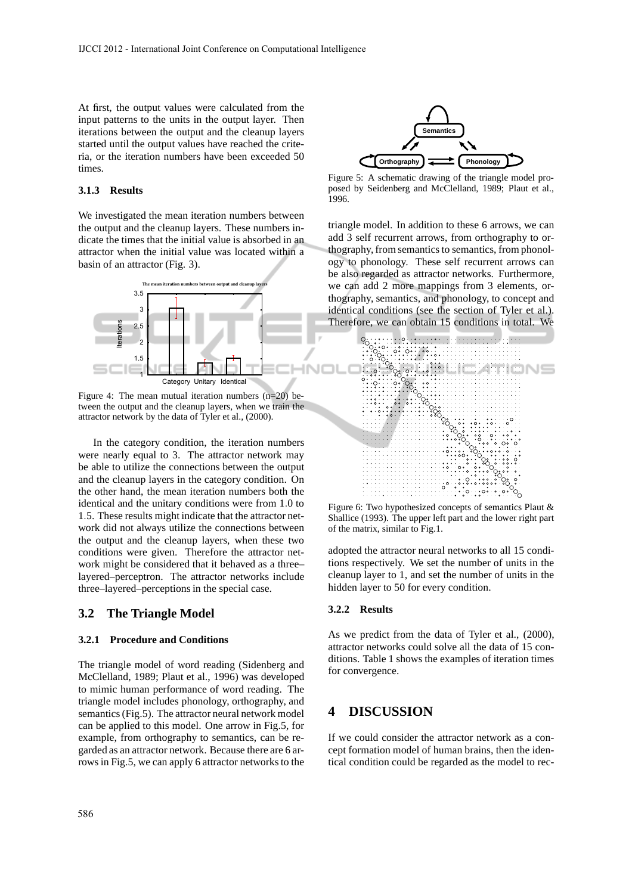At first, the output values were calculated from the input patterns to the units in the output layer. Then iterations between the output and the cleanup layers started until the output values have reached the criteria, or the iteration numbers have been exceeded 50 times.

### **3.1.3 Results**

We investigated the mean iteration numbers between the output and the cleanup layers. These numbers indicate the times that the initial value is absorbed in an attractor when the initial value was located within a basin of an attractor (Fig. 3).



Figure 4: The mean mutual iteration numbers  $(n=20)$  between the output and the cleanup layers, when we train the attractor network by the data of Tyler et al., (2000).

In the category condition, the iteration numbers were nearly equal to 3. The attractor network may be able to utilize the connections between the output and the cleanup layers in the category condition. On the other hand, the mean iteration numbers both the identical and the unitary conditions were from 1.0 to 1.5. These results might indicate that the attractor network did not always utilize the connections between the output and the cleanup layers, when these two conditions were given. Therefore the attractor network might be considered that it behaved as a three– layered–perceptron. The attractor networks include three–layered–perceptions in the special case.

### **3.2 The Triangle Model**

#### **3.2.1 Procedure and Conditions**

The triangle model of word reading (Sidenberg and McClelland, 1989; Plaut et al., 1996) was developed to mimic human performance of word reading. The triangle model includes phonology, orthography, and semantics (Fig.5). The attractor neural network model can be applied to this model. One arrow in Fig.5, for example, from orthography to semantics, can be regarded as an attractor network. Because there are 6 arrows in Fig.5, we can apply 6 attractor networks to the



Figure 5: A schematic drawing of the triangle model proposed by Seidenberg and McClelland, 1989; Plaut et al., 1996.

triangle model. In addition to these 6 arrows, we can add 3 self recurrent arrows, from orthography to orthography, from semantics to semantics, from phonology to phonology. These self recurrent arrows can be also regarded as attractor networks. Furthermore, we can add 2 more mappings from 3 elements, orthography, semantics, and phonology, to concept and identical conditions (see the section of Tyler et al.). Therefore, we can obtain 15 conditions in total. We



Figure 6: Two hypothesized concepts of semantics Plaut & Shallice (1993). The upper left part and the lower right part of the matrix, similar to Fig.1.

adopted the attractor neural networks to all 15 conditions respectively. We set the number of units in the cleanup layer to 1, and set the number of units in the hidden layer to 50 for every condition.

#### **3.2.2 Results**

As we predict from the data of Tyler et al., (2000), attractor networks could solve all the data of 15 conditions. Table 1 shows the examples of iteration times for convergence.

### **4 DISCUSSION**

If we could consider the attractor network as a concept formation model of human brains, then the identical condition could be regarded as the model to rec-